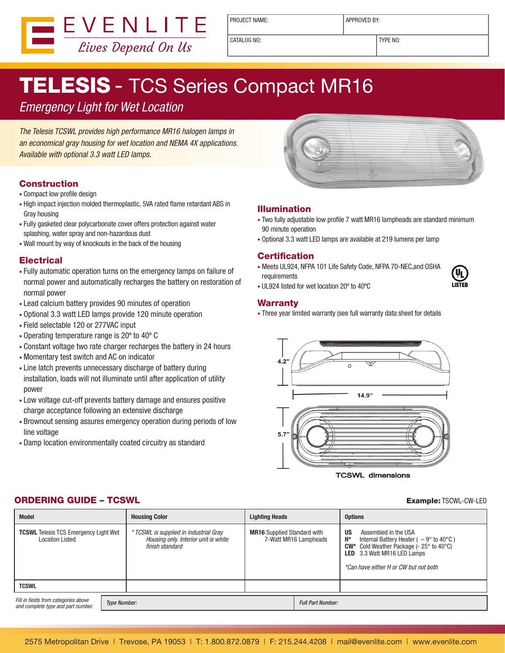

PROJECT NAME:  $\vert$  APPROVED BY:

CATALOG NO: TYPE NO:

# TELESIS - TCS Series Compact MR16

## Emergency Light for Wet Location

The Telesis TCSWL provides high performance MR16 halogen lamps in an economical gray housing for wet location and NEMA 4X applications. Available with optional 3.3 watt LED lamps.

### **Construction**

- Compact low profile design
- High impact injection molded thermoplastic, 5VA rated flame retardant ABS in Gray housing
- Fully gasketed clear polycarbonate cover offers protection against water splashing, water spray and non-hazardous dust
- Wall mount by way of knockouts in the back of the housing

#### **Electrical**

- • Fully automatic operation turns on the emergency lamps on failure of normal power and automatically recharges the battery on restoration of normal power
- • Lead calcium battery provides 90 minutes of operation
- • Optional 3.3 watt LED lamps provide 120 minute operation
- • Field selectable 120 or 277VAC input
- • Operating temperature range is 20º to 40º C
- Constant voltage two rate charger recharges the battery in 24 hours
- Momentary test switch and AC on indicator
- Line latch prevents unnecessary discharge of battery during installation, loads will not illuminate until after application of utility power
- Low voltage cut-off prevents battery damage and ensures positive charge acceptance following an extensive discharge
- • Brownout sensing assures emergency operation during periods of low line voltage
- Damp location environmentally coated circuitry as standard



#### Illumination

- Two fully adjustable low profile 7 watt MR16 lampheads are standard minimum 90 minute operation
- • Optional 3.3 watt LED lamps are available at 219 lumens per lamp

#### **Certification**

• Meets UL924, NFPA 101 Life Safety Code, NFPA 70-NEC, and OSHA requirements



• UL924 listed for wet location 20º to 40ºC

#### **Warranty**

• Three year limited warranty (see full warranty data sheet for details



**TCSWL dimensions** 

## ORDERING GUIDE – TCSWL Example: TSCWL-CW-LED

| <b>Model</b>                                                               |                     | <b>Housing Color</b><br><b>Lighting Heads</b>                                                     |                                                             |                          | <b>Options</b>                                                                                                                                                                                                                                            |  |
|----------------------------------------------------------------------------|---------------------|---------------------------------------------------------------------------------------------------|-------------------------------------------------------------|--------------------------|-----------------------------------------------------------------------------------------------------------------------------------------------------------------------------------------------------------------------------------------------------------|--|
| <b>TCSWL</b> Telesis TCS Emergency Light Wet<br><b>Location Listed</b>     |                     | * TCSWL is supplied in industrial Gray<br>Housing only. Interior unit is white<br>finish standard | <b>MR16</b> Supplied Standard with<br>7-Watt MR16 Lampheads |                          | <b>US</b><br>Assembled in the USA<br>$H^*$<br>Internal Battery Heater ( $-9^{\circ}$ to 40 $^{\circ}$ C)<br>$CW^*$ Cold Weather Package (- 25 $\degree$ to 40 $\degree$ C)<br><b>LED</b> 3.3 Watt MR16 LED Lamps<br>*Can have either H or CW but not both |  |
| <b>TCSWL</b>                                                               |                     |                                                                                                   |                                                             |                          |                                                                                                                                                                                                                                                           |  |
| Fill in fields from categories above<br>and complete type and part number. | <b>Type Number:</b> |                                                                                                   |                                                             | <b>Full Part Number:</b> |                                                                                                                                                                                                                                                           |  |